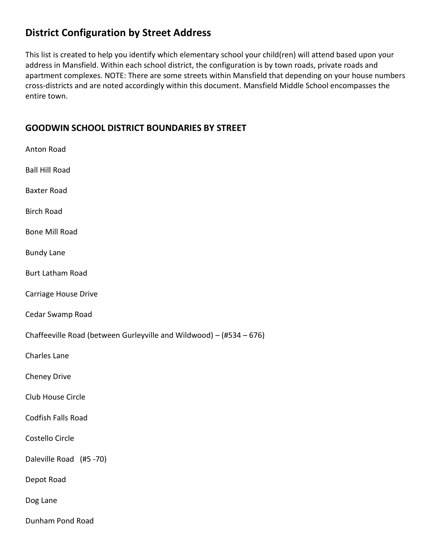# **District Configuration by Street Address**

This list is created to help you identify which elementary school your child(ren) will attend based upon your address in Mansfield. Within each school district, the configuration is by town roads, private roads and apartment complexes. NOTE: There are some streets within Mansfield that depending on your house numbers cross-districts and are noted accordingly within this document. Mansfield Middle School encompasses the entire town.

## **GOODWIN SCHOOL DISTRICT BOUNDARIES BY STREET**

| Anton Road                                                          |
|---------------------------------------------------------------------|
| <b>Ball Hill Road</b>                                               |
| <b>Baxter Road</b>                                                  |
| <b>Birch Road</b>                                                   |
| <b>Bone Mill Road</b>                                               |
| <b>Bundy Lane</b>                                                   |
| <b>Burt Latham Road</b>                                             |
| Carriage House Drive                                                |
| Cedar Swamp Road                                                    |
| Chaffeeville Road (between Gurleyville and Wildwood) - (#534 - 676) |
| <b>Charles Lane</b>                                                 |
| <b>Cheney Drive</b>                                                 |
| Club House Circle                                                   |
| Codfish Falls Road                                                  |
| Costello Circle                                                     |
| Daleville Road (#5 -70)                                             |
| Depot Road                                                          |
| Dog Lane                                                            |
| Dunham Pond Road                                                    |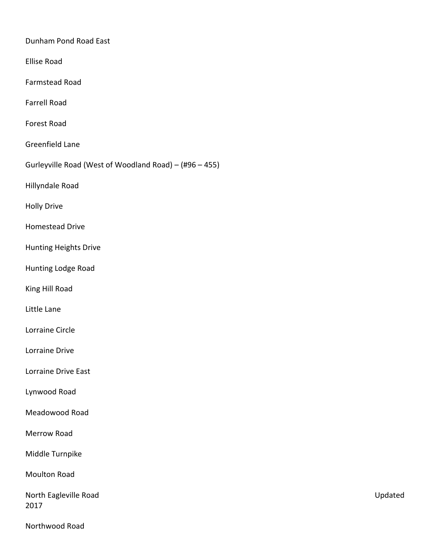Dunham Pond Road East

Ellise Road

Farmstead Road

Farrell Road

Forest Road

Greenfield Lane

Gurleyville Road (West of Woodland Road) – (#96 – 455)

Hillyndale Road

Holly Drive

Homestead Drive

Hunting Heights Drive

Hunting Lodge Road

King Hill Road

Little Lane

Lorraine Circle

Lorraine Drive

Lorraine Drive East

Lynwood Road

Meadowood Road

Merrow Road

Middle Turnpike

Moulton Road

North Eagleville Road Version Communication Communication Communication Communication Communication Communication Communication Communication Communication Communication Communication Communication Communication Communicat 2017

Northwood Road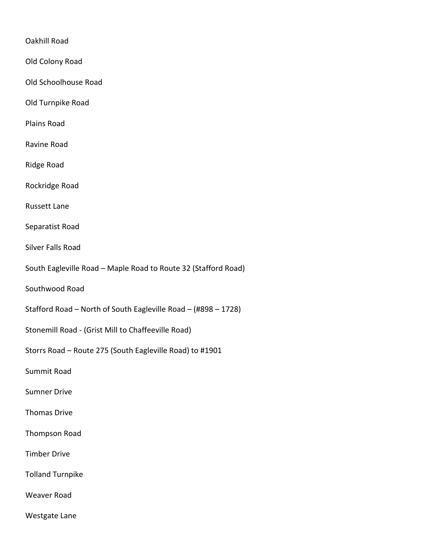#### Oakhill Road

Old Colony Road

Old Schoolhouse Road

Old Turnpike Road

Plains Road

- Ravine Road
- Ridge Road

Rockridge Road

Russett Lane

Separatist Road

- Silver Falls Road
- South Eagleville Road Maple Road to Route 32 (Stafford Road)

Southwood Road

- Stafford Road North of South Eagleville Road (#898 1728)
- Stonemill Road (Grist Mill to Chaffeeville Road)
- Storrs Road Route 275 (South Eagleville Road) to #1901

Summit Road

Sumner Drive

Thomas Drive

Thompson Road

Timber Drive

Tolland Turnpike

Weaver Road

Westgate Lane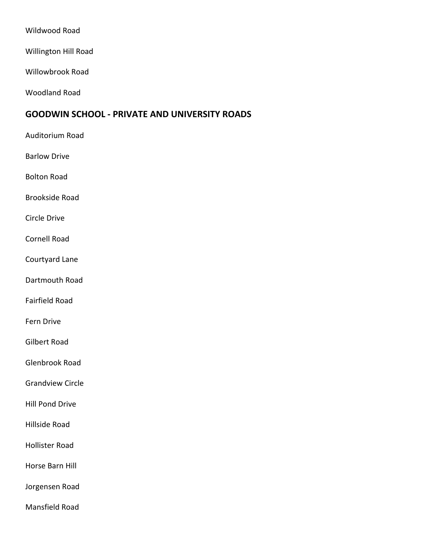Wildwood Road

Willington Hill Road

Willowbrook Road

Woodland Road

#### **GOODWIN SCHOOL - PRIVATE AND UNIVERSITY ROADS**

- Auditorium Road
- Barlow Drive

Bolton Road

Brookside Road

Circle Drive

Cornell Road

Courtyard Lane

Dartmouth Road

Fairfield Road

Fern Drive

Gilbert Road

Glenbrook Road

Grandview Circle

Hill Pond Drive

Hillside Road

Hollister Road

Horse Barn Hill

Jorgensen Road

Mansfield Road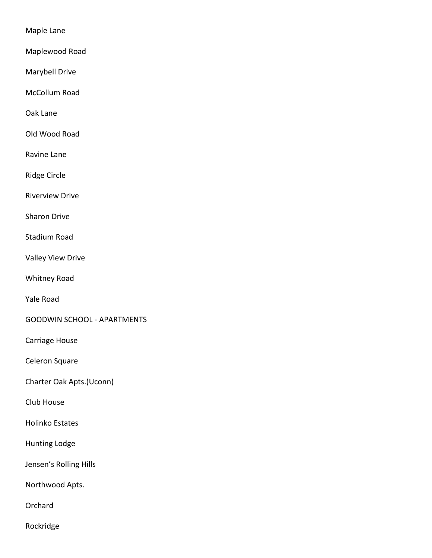Maple Lane

Maplewood Road

Marybell Drive

McCollum Road

Oak Lane

Old Wood Road

Ravine Lane

Ridge Circle

Riverview Drive

Sharon Drive

Stadium Road

Valley View Drive

Whitney Road

Yale Road

GOODWIN SCHOOL - APARTMENTS

Carriage House

Celeron Square

Charter Oak Apts.(Uconn)

Club House

Holinko Estates

Hunting Lodge

Jensen's Rolling Hills

Northwood Apts.

**Orchard** 

Rockridge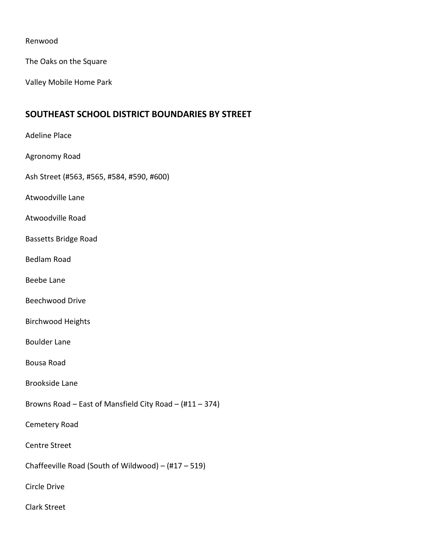#### Renwood

The Oaks on the Square

Valley Mobile Home Park

#### **SOUTHEAST SCHOOL DISTRICT BOUNDARIES BY STREET**

Adeline Place Agronomy Road Ash Street (#563, #565, #584, #590, #600) Atwoodville Lane Atwoodville Road Bassetts Bridge Road Bedlam Road Beebe Lane Beechwood Drive Birchwood Heights Boulder Lane Bousa Road Brookside Lane Browns Road – East of Mansfield City Road – (#11 – 374) Cemetery Road Centre Street Chaffeeville Road (South of Wildwood) – (#17 – 519) Circle Drive Clark Street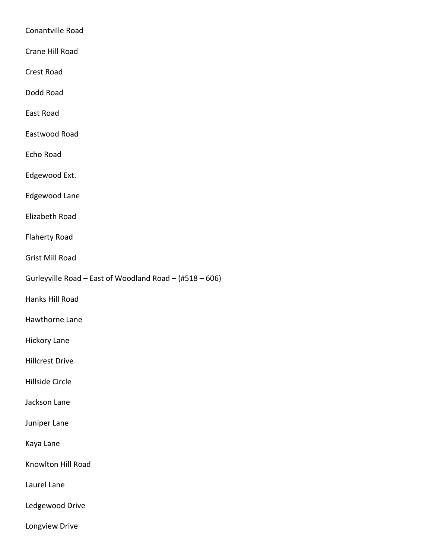Conantville Road Crane Hill Road Crest Road Dodd Road East Road

Eastwood Road

Echo Road

Edgewood Ext.

Edgewood Lane

Elizabeth Road

Flaherty Road

Grist Mill Road

Gurleyville Road – East of Woodland Road – (#518 – 606)

Hanks Hill Road

Hawthorne Lane

Hickory Lane

Hillcrest Drive

Hillside Circle

Jackson Lane

Juniper Lane

Kaya Lane

Knowlton Hill Road

Laurel Lane

Ledgewood Drive

Longview Drive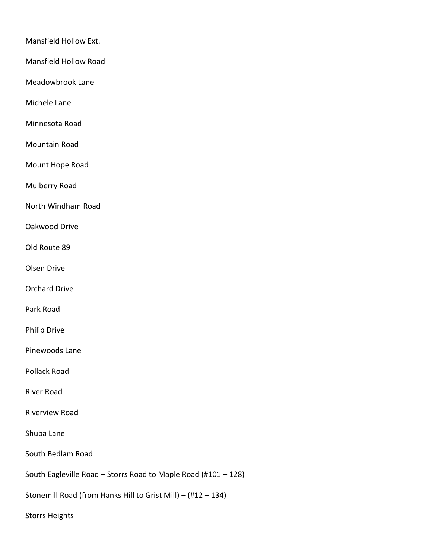Mansfield Hollow Ext.

Mansfield Hollow Road

Meadowbrook Lane

Michele Lane

Minnesota Road

Mountain Road

Mount Hope Road

Mulberry Road

North Windham Road

Oakwood Drive

Old Route 89

Olsen Drive

Orchard Drive

Park Road

Philip Drive

Pinewoods Lane

Pollack Road

River Road

Riverview Road

Shuba Lane

South Bedlam Road

South Eagleville Road – Storrs Road to Maple Road (#101 – 128)

Stonemill Road (from Hanks Hill to Grist Mill) – (#12 – 134)

Storrs Heights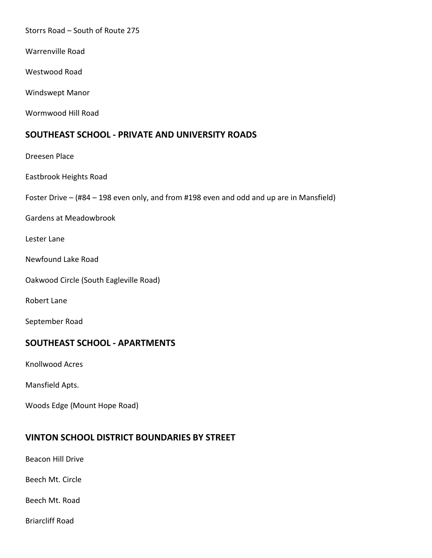Storrs Road – South of Route 275

Warrenville Road

Westwood Road

Windswept Manor

Wormwood Hill Road

### **SOUTHEAST SCHOOL - PRIVATE AND UNIVERSITY ROADS**

Dreesen Place Eastbrook Heights Road Foster Drive – (#84 – 198 even only, and from #198 even and odd and up are in Mansfield) Gardens at Meadowbrook Lester Lane Newfound Lake Road Oakwood Circle (South Eagleville Road)

Robert Lane

September Road

### **SOUTHEAST SCHOOL - APARTMENTS**

Knollwood Acres

Mansfield Apts.

Woods Edge (Mount Hope Road)

#### **VINTON SCHOOL DISTRICT BOUNDARIES BY STREET**

Beacon Hill Drive

Beech Mt. Circle

Beech Mt. Road

Briarcliff Road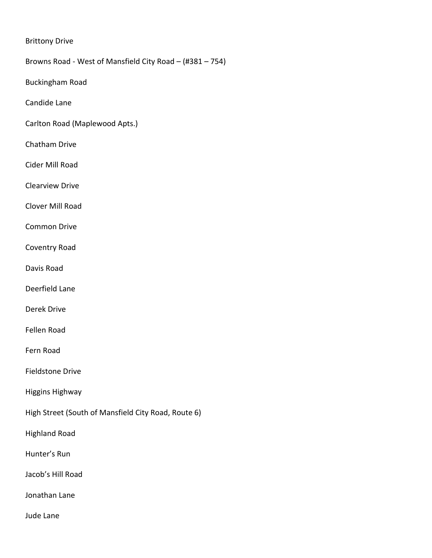#### Brittony Drive

Browns Road - West of Mansfield City Road – (#381 – 754)

Buckingham Road

Candide Lane

Carlton Road (Maplewood Apts.)

- Chatham Drive
- Cider Mill Road

Clearview Drive

Clover Mill Road

Common Drive

Coventry Road

Davis Road

Deerfield Lane

Derek Drive

Fellen Road

Fern Road

Fieldstone Drive

Higgins Highway

High Street (South of Mansfield City Road, Route 6)

Highland Road

Hunter's Run

Jacob's Hill Road

Jonathan Lane

Jude Lane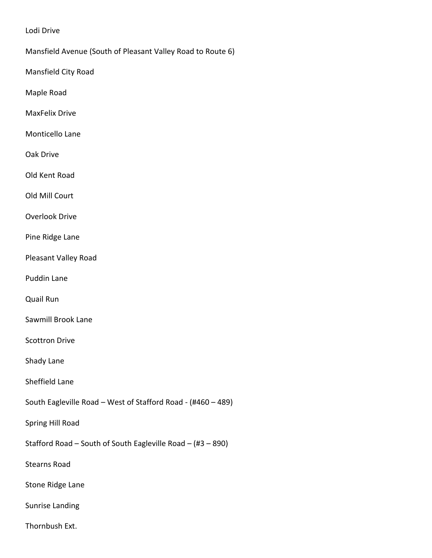Lodi Drive

Mansfield Avenue (South of Pleasant Valley Road to Route 6)

Mansfield City Road

Maple Road

MaxFelix Drive

Monticello Lane

Oak Drive

Old Kent Road

Old Mill Court

Overlook Drive

Pine Ridge Lane

Pleasant Valley Road

Puddin Lane

Quail Run

Sawmill Brook Lane

Scottron Drive

Shady Lane

Sheffield Lane

South Eagleville Road – West of Stafford Road - (#460 – 489)

Spring Hill Road

Stafford Road – South of South Eagleville Road – (#3 – 890)

Stearns Road

Stone Ridge Lane

Sunrise Landing

Thornbush Ext.